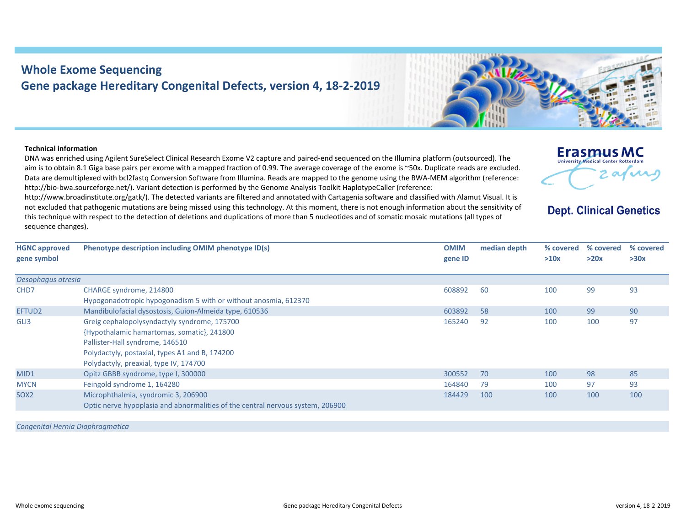## **Whole Exome Sequencing Gene package Hereditary Congenital Defects, version 4, 18‐2‐2019**

Optic nerve hypoplasia and abnormalities of the central nervous system, 206900

## **Technical information**

**HGNC approved gene symbol**

*Oesophagus atresia*

DNA was enriched using Agilent SureSelect Clinical Research Exome V2 capture and paired‐end sequenced on the Illumina platform (outsourced). The aim is to obtain 8.1 Giga base pairs per exome with <sup>a</sup> mapped fraction of 0.99. The average coverage of the exome is ~50x. Duplicate reads are excluded. Data are demultiplexed with bcl2fastq Conversion Software from Illumina. Reads are mapped to the genome using the BWA‐MEM algorithm (reference: http://bio‐bwa.sourceforge.net/). Variant detection is performed by the Genome Analysis Toolkit HaplotypeCaller (reference:

http://www.broadinstitute.org/gatk/). The detected variants are filtered and annotated with Cartagenia software and classified with Alamut Visual. It is not excluded that pathogenic mutations are being missed using this technology. At this moment, there is not enough information about the sensitivity of this technique with respect to the detection of deletions and duplications of more than 5 nucleotides and of somatic mosaic mutations (all types of sequence changes).

**Phenotype description including OMIM phenotype ID(s) OMIM**

CHD7 CHARGE syndrome, 214800 Hypogonadotropic hypogonadism 5 with or without anosmia, 612370 608892 60 100 99 93EFTUD2 Mandibulofacial dysostosis, Guion‐Almeida type, 610536 603892 58 100 99 90 GLI3 Greig cephalopolysyndactyly syndrome, 175700 {Hypothalamic hamartomas, somatic}, 241800 Pallister‐Hall syndrome, 146510 Polydactyly, postaxial, types A1 and B, 174200 Polydactyly, preaxial, type IV, 174700 165240 92 100 100 97MID1 0pitz GBBB syndrome, type I, 300000 3000 300552 70 300552 70 300552 70 98 85 MYCN Feingold syndrome 1, 164280 164840 164840 164840 164840 164840 164840 164840 164840 164840 164840 164840 164840 164840 164840 164840 164840 164840 164840 164840 164840 164840 164840 164840 164840 164840 164840 164840

*Congenital Hernia Diaphragmatica*

SOX2 Microphthalmia, syndromic 3, 206900



**gene ID**

**median**



## **Dept. Clinical Genetics**

**% covered >20x**

**% covered >30x**

 **depth % covered >10x**

184429 100 100 100 100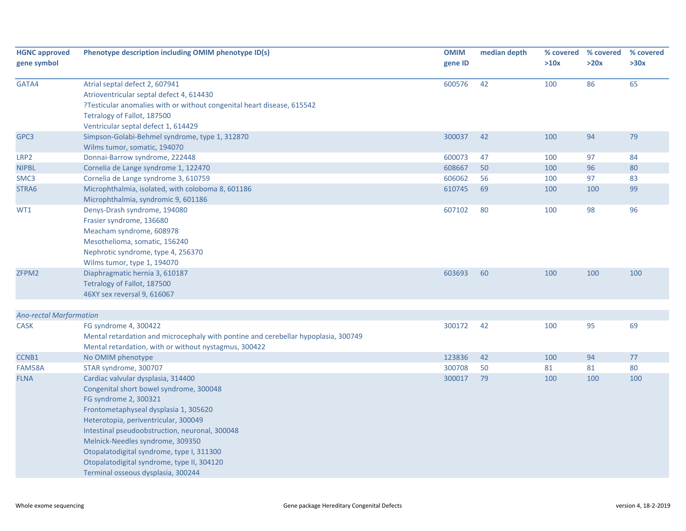| <b>HGNC approved</b><br>gene symbol | Phenotype description including OMIM phenotype ID(s)                                                                                                                                                                                                                                                                                                                                                           | <b>OMIM</b><br>gene ID | median depth | % covered<br>>10x | % covered<br>>20x | % covered<br>>30x |
|-------------------------------------|----------------------------------------------------------------------------------------------------------------------------------------------------------------------------------------------------------------------------------------------------------------------------------------------------------------------------------------------------------------------------------------------------------------|------------------------|--------------|-------------------|-------------------|-------------------|
| GATA4                               | Atrial septal defect 2, 607941<br>Atrioventricular septal defect 4, 614430<br>?Testicular anomalies with or without congenital heart disease, 615542<br>Tetralogy of Fallot, 187500<br>Ventricular septal defect 1, 614429                                                                                                                                                                                     | 600576                 | 42           | 100               | 86                | 65                |
| GPC3                                | Simpson-Golabi-Behmel syndrome, type 1, 312870<br>Wilms tumor, somatic, 194070                                                                                                                                                                                                                                                                                                                                 | 300037                 | 42           | 100               | 94                | 79                |
| LRP <sub>2</sub>                    | Donnai-Barrow syndrome, 222448                                                                                                                                                                                                                                                                                                                                                                                 | 600073                 | 47           | 100               | 97                | 84                |
| <b>NIPBL</b>                        | Cornelia de Lange syndrome 1, 122470                                                                                                                                                                                                                                                                                                                                                                           | 608667                 | 50           | 100               | 96                | 80                |
| SMC3                                | Cornelia de Lange syndrome 3, 610759                                                                                                                                                                                                                                                                                                                                                                           | 606062                 | 56           | 100               | 97                | 83                |
| STRA6                               | Microphthalmia, isolated, with coloboma 8, 601186<br>Microphthalmia, syndromic 9, 601186                                                                                                                                                                                                                                                                                                                       | 610745                 | 69           | 100               | 100               | 99                |
| WT1                                 | Denys-Drash syndrome, 194080<br>Frasier syndrome, 136680<br>Meacham syndrome, 608978<br>Mesothelioma, somatic, 156240<br>Nephrotic syndrome, type 4, 256370<br>Wilms tumor, type 1, 194070                                                                                                                                                                                                                     | 607102                 | 80           | 100               | 98                | 96                |
| ZFPM2                               | Diaphragmatic hernia 3, 610187<br>Tetralogy of Fallot, 187500<br>46XY sex reversal 9, 616067                                                                                                                                                                                                                                                                                                                   | 603693                 | 60           | 100               | 100               | 100               |
| <b>Ano-rectal Marformation</b>      |                                                                                                                                                                                                                                                                                                                                                                                                                |                        |              |                   |                   |                   |
| <b>CASK</b>                         | FG syndrome 4, 300422<br>Mental retardation and microcephaly with pontine and cerebellar hypoplasia, 300749<br>Mental retardation, with or without nystagmus, 300422                                                                                                                                                                                                                                           | 300172                 | 42           | 100               | 95                | 69                |
| CCNB1                               | No OMIM phenotype                                                                                                                                                                                                                                                                                                                                                                                              | 123836                 | 42           | 100               | 94                | 77                |
| FAM58A                              | STAR syndrome, 300707                                                                                                                                                                                                                                                                                                                                                                                          | 300708                 | 50           | 81                | 81                | 80                |
| <b>FLNA</b>                         | Cardiac valvular dysplasia, 314400<br>Congenital short bowel syndrome, 300048<br>FG syndrome 2, 300321<br>Frontometaphyseal dysplasia 1, 305620<br>Heterotopia, periventricular, 300049<br>Intestinal pseudoobstruction, neuronal, 300048<br>Melnick-Needles syndrome, 309350<br>Otopalatodigital syndrome, type I, 311300<br>Otopalatodigital syndrome, type II, 304120<br>Terminal osseous dysplasia, 300244 | 300017                 | 79           | 100               | 100               | 100               |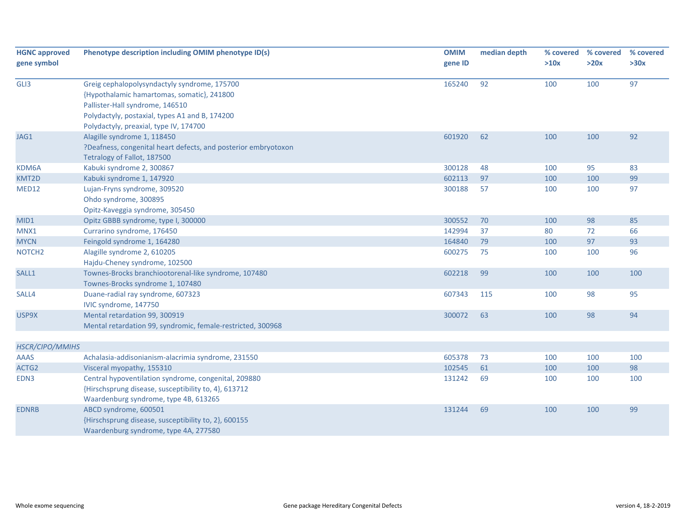| <b>HGNC approved</b> | Phenotype description including OMIM phenotype ID(s)           | <b>OMIM</b> | median depth | % covered | % covered | % covered |
|----------------------|----------------------------------------------------------------|-------------|--------------|-----------|-----------|-----------|
| gene symbol          |                                                                | gene ID     |              | >10x      | >20x      | >30x      |
|                      |                                                                |             |              |           |           |           |
| GLI3                 | Greig cephalopolysyndactyly syndrome, 175700                   | 165240      | 92           | 100       | 100       | 97        |
|                      | {Hypothalamic hamartomas, somatic}, 241800                     |             |              |           |           |           |
|                      | Pallister-Hall syndrome, 146510                                |             |              |           |           |           |
|                      | Polydactyly, postaxial, types A1 and B, 174200                 |             |              |           |           |           |
|                      | Polydactyly, preaxial, type IV, 174700                         |             |              |           |           |           |
| JAG1                 | Alagille syndrome 1, 118450                                    | 601920      | 62           | 100       | 100       | 92        |
|                      | ?Deafness, congenital heart defects, and posterior embryotoxon |             |              |           |           |           |
|                      | Tetralogy of Fallot, 187500                                    |             |              |           |           |           |
| KDM6A                | Kabuki syndrome 2, 300867                                      | 300128      | 48           | 100       | 95        | 83        |
| KMT2D                | Kabuki syndrome 1, 147920                                      | 602113      | 97           | 100       | 100       | 99        |
| MED12                | Lujan-Fryns syndrome, 309520                                   | 300188      | 57           | 100       | 100       | 97        |
|                      | Ohdo syndrome, 300895                                          |             |              |           |           |           |
|                      | Opitz-Kaveggia syndrome, 305450                                |             |              |           |           |           |
| MID1                 | Opitz GBBB syndrome, type I, 300000                            | 300552      | 70           | 100       | 98        | 85        |
| MNX1                 | Currarino syndrome, 176450                                     | 142994      | 37           | 80        | 72        | 66        |
| <b>MYCN</b>          | Feingold syndrome 1, 164280                                    | 164840      | 79           | 100       | 97        | 93        |
| NOTCH <sub>2</sub>   | Alagille syndrome 2, 610205                                    | 600275      | 75           | 100       | 100       | 96        |
|                      | Hajdu-Cheney syndrome, 102500                                  |             |              |           |           |           |
| SALL1                | Townes-Brocks branchiootorenal-like syndrome, 107480           | 602218      | 99           | 100       | 100       | 100       |
|                      | Townes-Brocks syndrome 1, 107480                               |             |              |           |           |           |
| SALL4                | Duane-radial ray syndrome, 607323                              | 607343      | 115          | 100       | 98        | 95        |
|                      | IVIC syndrome, 147750                                          |             |              |           |           |           |
| USP9X                | Mental retardation 99, 300919                                  | 300072      | 63           | 100       | 98        | 94        |
|                      | Mental retardation 99, syndromic, female-restricted, 300968    |             |              |           |           |           |
|                      |                                                                |             |              |           |           |           |
| HSCR/CIPO/MMIHS      |                                                                |             |              |           |           |           |
| <b>AAAS</b>          | Achalasia-addisonianism-alacrimia syndrome, 231550             | 605378      | 73           | 100       | 100       | 100       |
| ACTG2                | Visceral myopathy, 155310                                      | 102545      | 61           | 100       | 100       | 98        |
| EDN3                 | Central hypoventilation syndrome, congenital, 209880           | 131242      | 69           | 100       | 100       | 100       |
|                      | {Hirschsprung disease, susceptibility to, 4}, 613712           |             |              |           |           |           |
|                      | Waardenburg syndrome, type 4B, 613265                          |             |              |           |           |           |
| <b>EDNRB</b>         | ABCD syndrome, 600501                                          | 131244      | 69           | 100       | 100       | 99        |
|                      | {Hirschsprung disease, susceptibility to, 2}, 600155           |             |              |           |           |           |
|                      | Waardenburg syndrome, type 4A, 277580                          |             |              |           |           |           |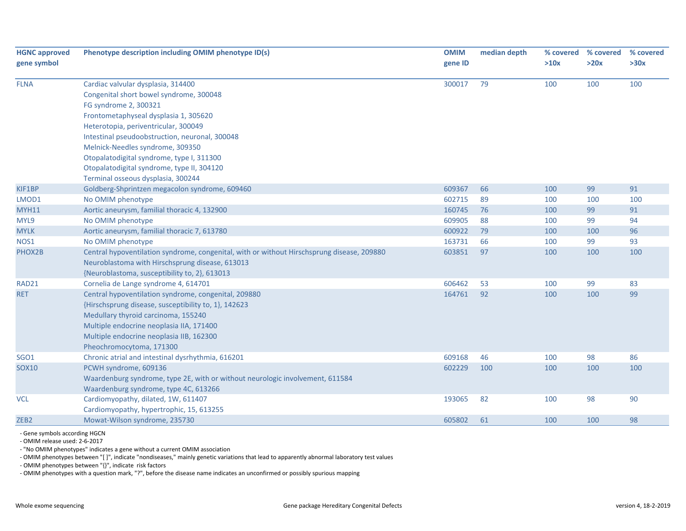| <b>HGNC approved</b> | Phenotype description including OMIM phenotype ID(s)                                       |         | median depth | % covered | % covered | % covered |
|----------------------|--------------------------------------------------------------------------------------------|---------|--------------|-----------|-----------|-----------|
| gene symbol          |                                                                                            | gene ID |              | >10x      | >20x      | >30x      |
| <b>FLNA</b>          | Cardiac valvular dysplasia, 314400                                                         | 300017  | 79           | 100       | 100       | 100       |
|                      | Congenital short bowel syndrome, 300048                                                    |         |              |           |           |           |
|                      | FG syndrome 2, 300321                                                                      |         |              |           |           |           |
|                      | Frontometaphyseal dysplasia 1, 305620                                                      |         |              |           |           |           |
|                      | Heterotopia, periventricular, 300049                                                       |         |              |           |           |           |
|                      | Intestinal pseudoobstruction, neuronal, 300048                                             |         |              |           |           |           |
|                      | Melnick-Needles syndrome, 309350                                                           |         |              |           |           |           |
|                      | Otopalatodigital syndrome, type I, 311300                                                  |         |              |           |           |           |
|                      | Otopalatodigital syndrome, type II, 304120                                                 |         |              |           |           |           |
|                      | Terminal osseous dysplasia, 300244                                                         |         |              |           |           |           |
| KIF1BP               | Goldberg-Shprintzen megacolon syndrome, 609460                                             | 609367  | 66           | 100       | 99        | 91        |
| LMOD1                | No OMIM phenotype                                                                          | 602715  | 89           | 100       | 100       | 100       |
| <b>MYH11</b>         | Aortic aneurysm, familial thoracic 4, 132900                                               | 160745  | 76           | 100       | 99        | 91        |
| MYL9                 | No OMIM phenotype                                                                          | 609905  | 88           | 100       | 99        | 94        |
| <b>MYLK</b>          | Aortic aneurysm, familial thoracic 7, 613780                                               | 600922  | 79           | 100       | 100       | 96        |
| NOS1                 | No OMIM phenotype                                                                          | 163731  | 66           | 100       | 99        | 93        |
| PHOX2B               | Central hypoventilation syndrome, congenital, with or without Hirschsprung disease, 209880 | 603851  | 97           | 100       | 100       | 100       |
|                      | Neuroblastoma with Hirschsprung disease, 613013                                            |         |              |           |           |           |
|                      | {Neuroblastoma, susceptibility to, 2}, 613013                                              |         |              |           |           |           |
| RAD21                | Cornelia de Lange syndrome 4, 614701                                                       | 606462  | 53           | 100       | 99        | 83        |
| <b>RET</b>           | Central hypoventilation syndrome, congenital, 209880                                       | 164761  | 92           | 100       | 100       | 99        |
|                      | {Hirschsprung disease, susceptibility to, 1}, 142623                                       |         |              |           |           |           |
|                      | Medullary thyroid carcinoma, 155240                                                        |         |              |           |           |           |
|                      | Multiple endocrine neoplasia IIA, 171400                                                   |         |              |           |           |           |
|                      | Multiple endocrine neoplasia IIB, 162300                                                   |         |              |           |           |           |
|                      | Pheochromocytoma, 171300                                                                   |         |              |           |           |           |
| <b>SGO1</b>          | Chronic atrial and intestinal dysrhythmia, 616201                                          | 609168  | 46           | 100       | 98        | 86        |
| <b>SOX10</b>         | PCWH syndrome, 609136                                                                      | 602229  | 100          | 100       | 100       | 100       |
|                      | Waardenburg syndrome, type 2E, with or without neurologic involvement, 611584              |         |              |           |           |           |
|                      | Waardenburg syndrome, type 4C, 613266                                                      |         |              |           |           |           |
| <b>VCL</b>           | Cardiomyopathy, dilated, 1W, 611407                                                        | 193065  | 82           | 100       | 98        | 90        |
|                      | Cardiomyopathy, hypertrophic, 15, 613255                                                   |         |              |           |           |           |
| ZEB <sub>2</sub>     | Mowat-Wilson syndrome, 235730                                                              | 605802  | 61           | 100       | 100       | 98        |

‐ Gene symbols according HGCN

‐ OMIM release used: 2‐6‐2017

‐ "No OMIM phenotypes" indicates <sup>a</sup> gene without <sup>a</sup> current OMIM association

‐ OMIM phenotypes between "[ ]", indicate "nondiseases," mainly genetic variations that lead to apparently abnormal laboratory test values

‐ OMIM phenotypes between "{}", indicate risk factors

‐ OMIM phenotypes with <sup>a</sup> question mark, "?", before the disease name indicates an unconfirmed or possibly spurious mapping